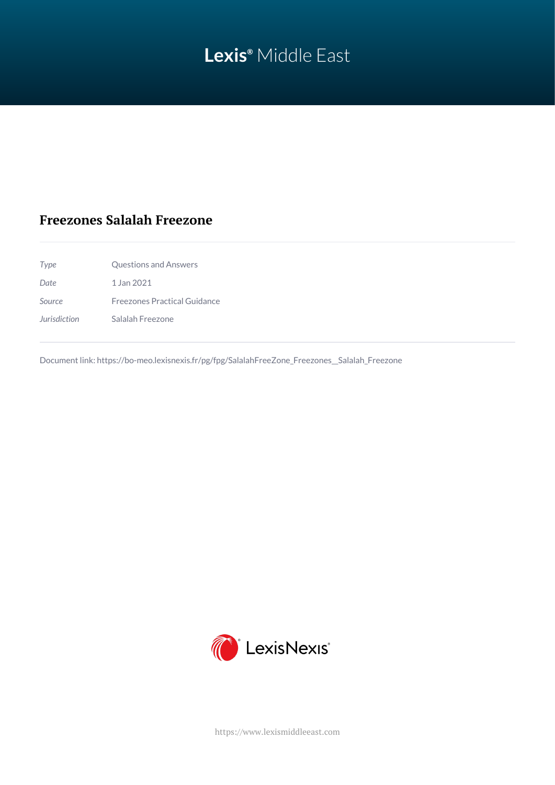# **Lexis®** Middle East

## **Freezones Salalah Freezone**

| Type         | Questions and Answers               |
|--------------|-------------------------------------|
| Date         | 1 Jan 2021                          |
| Source       | <b>Freezones Practical Guidance</b> |
| Jurisdiction | Salalah Freezone                    |

Document link: [https://bo-meo.lexisnexis.fr/pg/fpg/SalalahFreeZone\\_Freezones\\_\\_Salalah\\_Freezone](https://bo-meo.lexisnexis.fr/pg/fpg/SalalahFreeZone_Freezones__Salalah_Freezone)



<https://www.lexismiddleeast.com>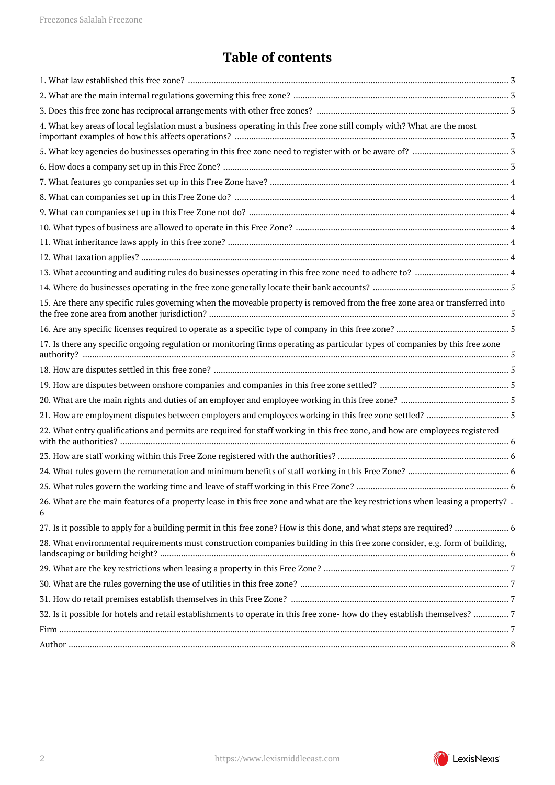## **Table of contents**

| 4. What key areas of local legislation must a business operating in this free zone still comply with? What are the most<br>15. Are there any specific rules governing when the moveable property is removed from the free zone area or transferred into<br>17. Is there any specific ongoing regulation or monitoring firms operating as particular types of companies by this free zone<br>22. What entry qualifications and permits are required for staff working in this free zone, and how are employees registered<br>26. What are the main features of a property lease in this free zone and what are the key restrictions when leasing a property?.<br>6<br>28. What environmental requirements must construction companies building in this free zone consider, e.g. form of building,<br>32. Is it possible for hotels and retail establishments to operate in this free zone- how do they establish themselves? 7 |  |
|-------------------------------------------------------------------------------------------------------------------------------------------------------------------------------------------------------------------------------------------------------------------------------------------------------------------------------------------------------------------------------------------------------------------------------------------------------------------------------------------------------------------------------------------------------------------------------------------------------------------------------------------------------------------------------------------------------------------------------------------------------------------------------------------------------------------------------------------------------------------------------------------------------------------------------|--|
|                                                                                                                                                                                                                                                                                                                                                                                                                                                                                                                                                                                                                                                                                                                                                                                                                                                                                                                               |  |
|                                                                                                                                                                                                                                                                                                                                                                                                                                                                                                                                                                                                                                                                                                                                                                                                                                                                                                                               |  |
|                                                                                                                                                                                                                                                                                                                                                                                                                                                                                                                                                                                                                                                                                                                                                                                                                                                                                                                               |  |
|                                                                                                                                                                                                                                                                                                                                                                                                                                                                                                                                                                                                                                                                                                                                                                                                                                                                                                                               |  |
|                                                                                                                                                                                                                                                                                                                                                                                                                                                                                                                                                                                                                                                                                                                                                                                                                                                                                                                               |  |
|                                                                                                                                                                                                                                                                                                                                                                                                                                                                                                                                                                                                                                                                                                                                                                                                                                                                                                                               |  |
|                                                                                                                                                                                                                                                                                                                                                                                                                                                                                                                                                                                                                                                                                                                                                                                                                                                                                                                               |  |
|                                                                                                                                                                                                                                                                                                                                                                                                                                                                                                                                                                                                                                                                                                                                                                                                                                                                                                                               |  |
|                                                                                                                                                                                                                                                                                                                                                                                                                                                                                                                                                                                                                                                                                                                                                                                                                                                                                                                               |  |
|                                                                                                                                                                                                                                                                                                                                                                                                                                                                                                                                                                                                                                                                                                                                                                                                                                                                                                                               |  |
|                                                                                                                                                                                                                                                                                                                                                                                                                                                                                                                                                                                                                                                                                                                                                                                                                                                                                                                               |  |
|                                                                                                                                                                                                                                                                                                                                                                                                                                                                                                                                                                                                                                                                                                                                                                                                                                                                                                                               |  |
|                                                                                                                                                                                                                                                                                                                                                                                                                                                                                                                                                                                                                                                                                                                                                                                                                                                                                                                               |  |
|                                                                                                                                                                                                                                                                                                                                                                                                                                                                                                                                                                                                                                                                                                                                                                                                                                                                                                                               |  |
|                                                                                                                                                                                                                                                                                                                                                                                                                                                                                                                                                                                                                                                                                                                                                                                                                                                                                                                               |  |
|                                                                                                                                                                                                                                                                                                                                                                                                                                                                                                                                                                                                                                                                                                                                                                                                                                                                                                                               |  |
|                                                                                                                                                                                                                                                                                                                                                                                                                                                                                                                                                                                                                                                                                                                                                                                                                                                                                                                               |  |
|                                                                                                                                                                                                                                                                                                                                                                                                                                                                                                                                                                                                                                                                                                                                                                                                                                                                                                                               |  |
|                                                                                                                                                                                                                                                                                                                                                                                                                                                                                                                                                                                                                                                                                                                                                                                                                                                                                                                               |  |
|                                                                                                                                                                                                                                                                                                                                                                                                                                                                                                                                                                                                                                                                                                                                                                                                                                                                                                                               |  |
|                                                                                                                                                                                                                                                                                                                                                                                                                                                                                                                                                                                                                                                                                                                                                                                                                                                                                                                               |  |
|                                                                                                                                                                                                                                                                                                                                                                                                                                                                                                                                                                                                                                                                                                                                                                                                                                                                                                                               |  |
|                                                                                                                                                                                                                                                                                                                                                                                                                                                                                                                                                                                                                                                                                                                                                                                                                                                                                                                               |  |
|                                                                                                                                                                                                                                                                                                                                                                                                                                                                                                                                                                                                                                                                                                                                                                                                                                                                                                                               |  |
|                                                                                                                                                                                                                                                                                                                                                                                                                                                                                                                                                                                                                                                                                                                                                                                                                                                                                                                               |  |
|                                                                                                                                                                                                                                                                                                                                                                                                                                                                                                                                                                                                                                                                                                                                                                                                                                                                                                                               |  |
|                                                                                                                                                                                                                                                                                                                                                                                                                                                                                                                                                                                                                                                                                                                                                                                                                                                                                                                               |  |
|                                                                                                                                                                                                                                                                                                                                                                                                                                                                                                                                                                                                                                                                                                                                                                                                                                                                                                                               |  |
|                                                                                                                                                                                                                                                                                                                                                                                                                                                                                                                                                                                                                                                                                                                                                                                                                                                                                                                               |  |
|                                                                                                                                                                                                                                                                                                                                                                                                                                                                                                                                                                                                                                                                                                                                                                                                                                                                                                                               |  |
|                                                                                                                                                                                                                                                                                                                                                                                                                                                                                                                                                                                                                                                                                                                                                                                                                                                                                                                               |  |
|                                                                                                                                                                                                                                                                                                                                                                                                                                                                                                                                                                                                                                                                                                                                                                                                                                                                                                                               |  |
|                                                                                                                                                                                                                                                                                                                                                                                                                                                                                                                                                                                                                                                                                                                                                                                                                                                                                                                               |  |
|                                                                                                                                                                                                                                                                                                                                                                                                                                                                                                                                                                                                                                                                                                                                                                                                                                                                                                                               |  |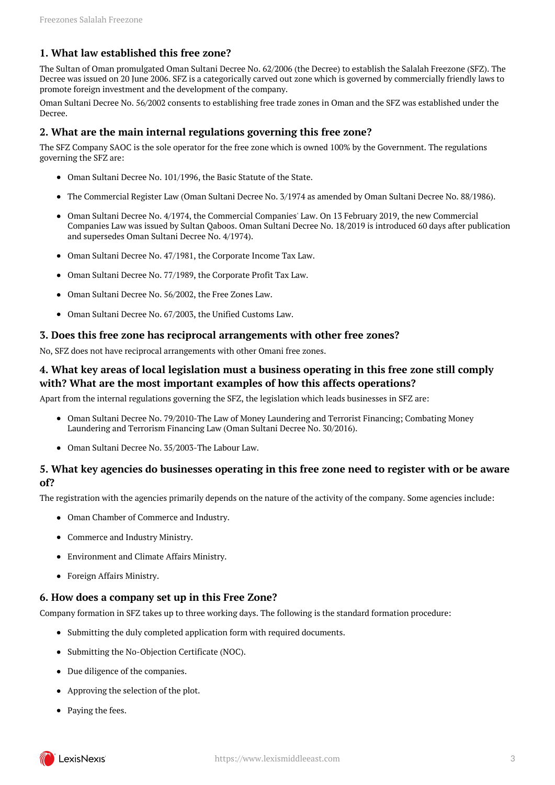### <span id="page-2-0"></span>**1. What law established this free zone?**

The Sultan of Oman promulgated Oman Sultani Decree No. 62/2006 (the Decree) to establish the Salalah Freezone (SFZ). The Decree was issued on 20 June 2006. SFZ is a categorically carved out zone which is governed by commercially friendly laws to promote foreign investment and the development of the company.

Oman Sultani Decree No. 56/2002 consents to establishing free trade zones in Oman and the SFZ was established under the Decree.

#### <span id="page-2-1"></span>**2. What are the main internal regulations governing this free zone?**

The SFZ Company SAOC is the sole operator for the free zone which is owned 100% by the Government. The regulations governing the SFZ are:

- Oman Sultani Decree No. 101/1996, the Basic Statute of the State.
- The Commercial Register Law (Oman Sultani Decree No. 3/1974 as amended by Oman Sultani Decree No. 88/1986).
- Oman Sultani Decree No. 4/1974, the Commercial Companies' Law. On 13 February 2019, the new Commercial Companies Law was issued by Sultan Qaboos. Oman Sultani Decree No. 18/2019 is introduced 60 days after publication and supersedes Oman Sultani Decree No. 4/1974).
- Oman Sultani Decree No. 47/1981, the Corporate Income Tax Law.
- Oman Sultani Decree No. 77/1989, the Corporate Profit Tax Law.
- Oman Sultani Decree No. 56/2002, the Free Zones Law.
- Oman Sultani Decree No. 67/2003, the Unified Customs Law.

#### <span id="page-2-2"></span>**3. Does this free zone has reciprocal arrangements with other free zones?**

No, SFZ does not have reciprocal arrangements with other Omani free zones.

#### <span id="page-2-3"></span>**4. What key areas of local legislation must a business operating in this free zone still comply with? What are the most important examples of how this affects operations?**

Apart from the internal regulations governing the SFZ, the legislation which leads businesses in SFZ are:

- Oman Sultani Decree No. 79/2010-The Law of Money Laundering and Terrorist Financing; Combating Money Laundering and Terrorism Financing Law (Oman Sultani Decree No. 30/2016).
- Oman Sultani Decree No. 35/2003-The Labour Law.

## <span id="page-2-4"></span>**5. What key agencies do businesses operating in this free zone need to register with or be aware of?**

The registration with the agencies primarily depends on the nature of the activity of the company. Some agencies include:

- Oman Chamber of Commerce and Industry.
- Commerce and Industry Ministry.
- Environment and Climate Affairs Ministry.
- Foreign Affairs Ministry.

#### <span id="page-2-5"></span>**6. How does a company set up in this Free Zone?**

Company formation in SFZ takes up to three working days. The following is the standard formation procedure:

- Submitting the duly completed application form with required documents.
- Submitting the No-Objection Certificate (NOC).
- Due diligence of the companies.
- Approving the selection of the plot.
- Paying the fees.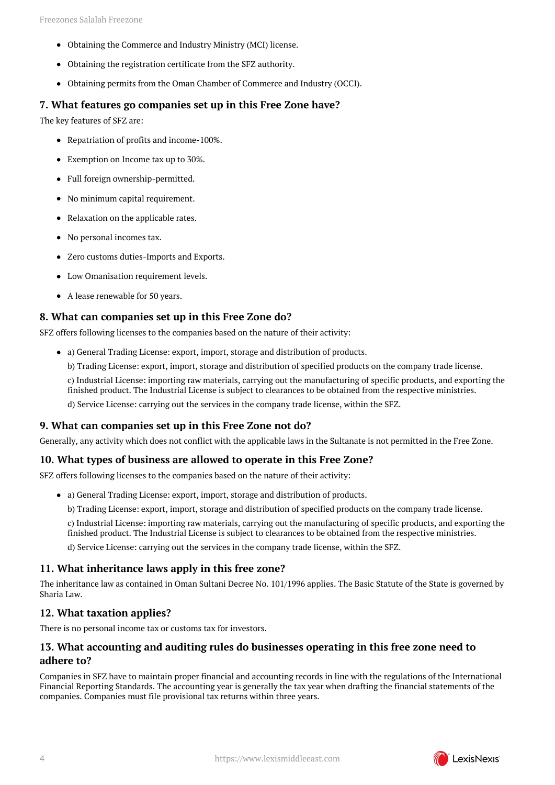- Obtaining the Commerce and Industry Ministry (MCI) license.
- Obtaining the registration certificate from the SFZ authority.
- Obtaining permits from the Oman Chamber of Commerce and Industry (OCCI).

#### <span id="page-3-0"></span>**7. What features go companies set up in this Free Zone have?**

The key features of SFZ are:

- Repatriation of profits and income-100%.
- Exemption on Income tax up to 30%.
- Full foreign ownership-permitted.
- No minimum capital requirement.
- Relaxation on the applicable rates.
- No personal incomes tax.
- Zero customs duties-Imports and Exports.
- Low Omanisation requirement levels.
- A lease renewable for 50 years.

#### <span id="page-3-1"></span>**8. What can companies set up in this Free Zone do?**

SFZ offers following licenses to the companies based on the nature of their activity:

- a) General Trading License: export, import, storage and distribution of products.
	- b) Trading License: export, import, storage and distribution of specified products on the company trade license.

c) Industrial License: importing raw materials, carrying out the manufacturing of specific products, and exporting the finished product. The Industrial License is subject to clearances to be obtained from the respective ministries.

d) Service License: carrying out the services in the company trade license, within the SFZ.

#### <span id="page-3-2"></span>**9. What can companies set up in this Free Zone not do?**

Generally, any activity which does not conflict with the applicable laws in the Sultanate is not permitted in the Free Zone.

#### <span id="page-3-3"></span>**10. What types of business are allowed to operate in this Free Zone?**

SFZ offers following licenses to the companies based on the nature of their activity:

- a) General Trading License: export, import, storage and distribution of products.
	- b) Trading License: export, import, storage and distribution of specified products on the company trade license.

c) Industrial License: importing raw materials, carrying out the manufacturing of specific products, and exporting the finished product. The Industrial License is subject to clearances to be obtained from the respective ministries.

d) Service License: carrying out the services in the company trade license, within the SFZ.

## <span id="page-3-4"></span>**11. What inheritance laws apply in this free zone?**

The inheritance law as contained in Oman Sultani Decree No. 101/1996 applies. The Basic Statute of the State is governed by Sharia Law.

## <span id="page-3-5"></span>**12. What taxation applies?**

There is no personal income tax or customs tax for investors.

## <span id="page-3-6"></span>**13. What accounting and auditing rules do businesses operating in this free zone need to adhere to?**

Companies in SFZ have to maintain proper financial and accounting records in line with the regulations of the International Financial Reporting Standards. The accounting year is generally the tax year when drafting the financial statements of the companies. Companies must file provisional tax returns within three years.

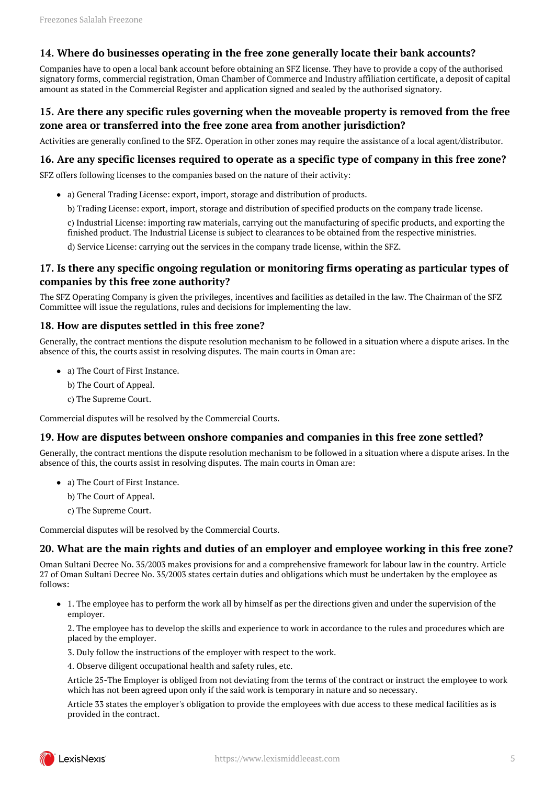### <span id="page-4-0"></span>**14. Where do businesses operating in the free zone generally locate their bank accounts?**

Companies have to open a local bank account before obtaining an SFZ license. They have to provide a copy of the authorised signatory forms, commercial registration, Oman Chamber of Commerce and Industry affiliation certificate, a deposit of capital amount as stated in the Commercial Register and application signed and sealed by the authorised signatory.

## <span id="page-4-1"></span>**15. Are there any specific rules governing when the moveable property is removed from the free zone area or transferred into the free zone area from another jurisdiction?**

Activities are generally confined to the SFZ. Operation in other zones may require the assistance of a local agent/distributor.

#### <span id="page-4-2"></span>**16. Are any specific licenses required to operate as a specific type of company in this free zone?**

SFZ offers following licenses to the companies based on the nature of their activity:

a) General Trading License: export, import, storage and distribution of products.

b) Trading License: export, import, storage and distribution of specified products on the company trade license.

c) Industrial License: importing raw materials, carrying out the manufacturing of specific products, and exporting the finished product. The Industrial License is subject to clearances to be obtained from the respective ministries.

d) Service License: carrying out the services in the company trade license, within the SFZ.

#### <span id="page-4-3"></span>**17. Is there any specific ongoing regulation or monitoring firms operating as particular types of companies by this free zone authority?**

The SFZ Operating Company is given the privileges, incentives and facilities as detailed in the law. The Chairman of the SFZ Committee will issue the regulations, rules and decisions for implementing the law.

#### <span id="page-4-4"></span>**18. How are disputes settled in this free zone?**

Generally, the contract mentions the dispute resolution mechanism to be followed in a situation where a dispute arises. In the absence of this, the courts assist in resolving disputes. The main courts in Oman are:

- a) The Court of First Instance.
	- b) The Court of Appeal.
	- c) The Supreme Court.

Commercial disputes will be resolved by the Commercial Courts.

#### <span id="page-4-5"></span>**19. How are disputes between onshore companies and companies in this free zone settled?**

Generally, the contract mentions the dispute resolution mechanism to be followed in a situation where a dispute arises. In the absence of this, the courts assist in resolving disputes. The main courts in Oman are:

- a) The Court of First Instance.
	- b) The Court of Appeal.
	- c) The Supreme Court.

Commercial disputes will be resolved by the Commercial Courts.

#### <span id="page-4-6"></span>**20. What are the main rights and duties of an employer and employee working in this free zone?**

Oman Sultani Decree No. 35/2003 makes provisions for and a comprehensive framework for labour law in the country. Article 27 of Oman Sultani Decree No. 35/2003 states certain duties and obligations which must be undertaken by the employee as follows:

1. The employee has to perform the work all by himself as per the directions given and under the supervision of the employer.

2. The employee has to develop the skills and experience to work in accordance to the rules and procedures which are placed by the employer.

- 3. Duly follow the instructions of the employer with respect to the work.
- 4. Observe diligent occupational health and safety rules, etc.

Article 25-The Employer is obliged from not deviating from the terms of the contract or instruct the employee to work which has not been agreed upon only if the said work is temporary in nature and so necessary.

Article 33 states the employer's obligation to provide the employees with due access to these medical facilities as is provided in the contract.

<span id="page-4-7"></span>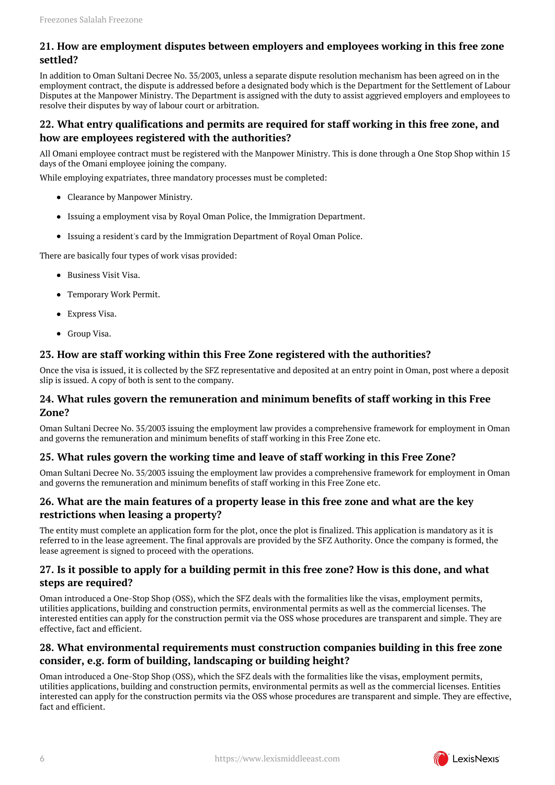## **21. How are employment disputes between employers and employees working in this free zone settled?**

In addition to Oman Sultani Decree No. 35/2003, unless a separate dispute resolution mechanism has been agreed on in the employment contract, the dispute is addressed before a designated body which is the Department for the Settlement of Labour Disputes at the Manpower Ministry. The Department is assigned with the duty to assist aggrieved employers and employees to resolve their disputes by way of labour court or arbitration.

## <span id="page-5-0"></span>**22. What entry qualifications and permits are required for staff working in this free zone, and how are employees registered with the authorities?**

All Omani employee contract must be registered with the Manpower Ministry. This is done through a One Stop Shop within 15 days of the Omani employee joining the company.

While employing expatriates, three mandatory processes must be completed:

- Clearance by Manpower Ministry.
- Issuing a employment visa by Royal Oman Police, the Immigration Department.
- Issuing a resident's card by the Immigration Department of Royal Oman Police.

There are basically four types of work visas provided:

- Business Visit Visa.
- Temporary Work Permit.
- Express Visa.
- Group Visa.

#### <span id="page-5-1"></span>**23. How are staff working within this Free Zone registered with the authorities?**

Once the visa is issued, it is collected by the SFZ representative and deposited at an entry point in Oman, post where a deposit slip is issued. A copy of both is sent to the company.

#### <span id="page-5-2"></span>**24. What rules govern the remuneration and minimum benefits of staff working in this Free Zone?**

Oman Sultani Decree No. 35/2003 issuing the employment law provides a comprehensive framework for employment in Oman and governs the remuneration and minimum benefits of staff working in this Free Zone etc.

### <span id="page-5-3"></span>**25. What rules govern the working time and leave of staff working in this Free Zone?**

Oman Sultani Decree No. 35/2003 issuing the employment law provides a comprehensive framework for employment in Oman and governs the remuneration and minimum benefits of staff working in this Free Zone etc.

#### <span id="page-5-4"></span>**26. What are the main features of a property lease in this free zone and what are the key restrictions when leasing a property?**

The entity must complete an application form for the plot, once the plot is finalized. This application is mandatory as it is referred to in the lease agreement. The final approvals are provided by the SFZ Authority. Once the company is formed, the lease agreement is signed to proceed with the operations.

#### <span id="page-5-5"></span>**27. Is it possible to apply for a building permit in this free zone? How is this done, and what steps are required?**

Oman introduced a One-Stop Shop (OSS), which the SFZ deals with the formalities like the visas, employment permits, utilities applications, building and construction permits, environmental permits as well as the commercial licenses. The interested entities can apply for the construction permit via the OSS whose procedures are transparent and simple. They are effective, fact and efficient.

## <span id="page-5-6"></span>**28. What environmental requirements must construction companies building in this free zone consider, e.g. form of building, landscaping or building height?**

Oman introduced a One-Stop Shop (OSS), which the SFZ deals with the formalities like the visas, employment permits, utilities applications, building and construction permits, environmental permits as well as the commercial licenses. Entities interested can apply for the construction permits via the OSS whose procedures are transparent and simple. They are effective, fact and efficient.

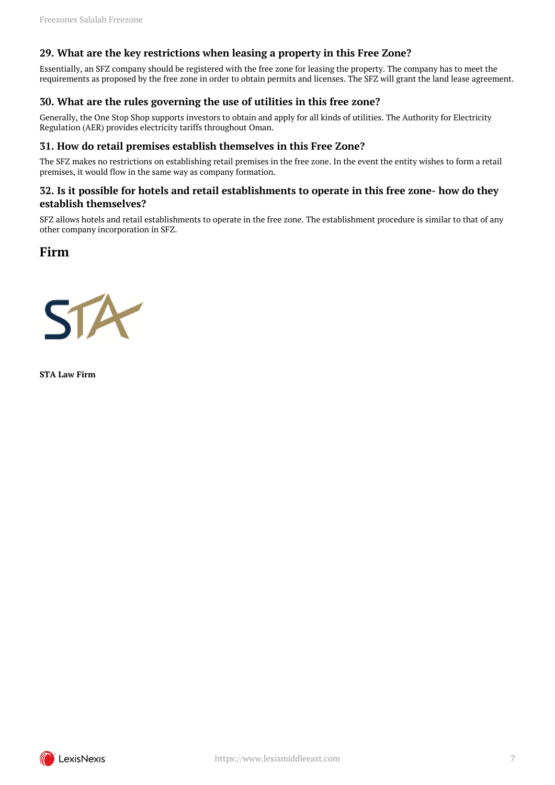#### <span id="page-6-0"></span>**29. What are the key restrictions when leasing a property in this Free Zone?**

Essentially, an SFZ company should be registered with the free zone for leasing the property. The company has to meet the requirements as proposed by the free zone in order to obtain permits and licenses. The SFZ will grant the land lease agreement.

#### <span id="page-6-1"></span>**30. What are the rules governing the use of utilities in this free zone?**

Generally, the One Stop Shop supports investors to obtain and apply for all kinds of utilities. The Authority for Electricity Regulation (AER) provides electricity tariffs throughout Oman.

#### <span id="page-6-2"></span>**31. How do retail premises establish themselves in this Free Zone?**

The SFZ makes no restrictions on establishing retail premises in the free zone. In the event the entity wishes to form a retail premises, it would flow in the same way as company formation.

#### <span id="page-6-3"></span>**32. Is it possible for hotels and retail establishments to operate in this free zone- how do they establish themselves?**

SFZ allows hotels and retail establishments to operate in the free zone. The establishment procedure is similar to that of any other company incorporation in SFZ.

## <span id="page-6-4"></span>**Firm**



**STA Law Firm**